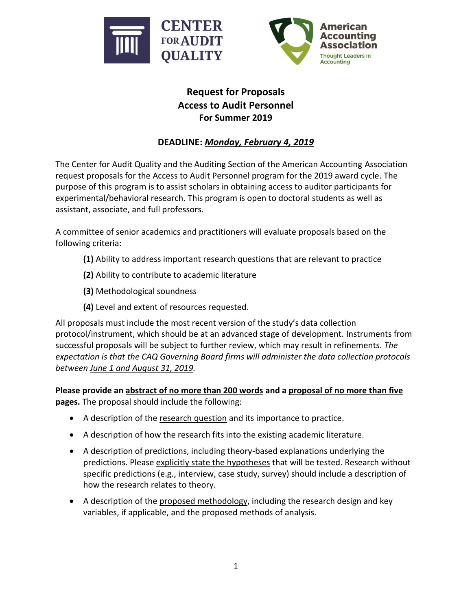



## **Request for Proposals Access to Audit Personnel For Summer 2019**

## **DEADLINE:** *Monday, February 4, 2019*

The Center for Audit Quality and the Auditing Section of the American Accounting Association request proposals for the Access to Audit Personnel program for the 2019 award cycle. The purpose of this program is to assist scholars in obtaining access to auditor participants for experimental/behavioral research. This program is open to doctoral students as well as assistant, associate, and full professors.

A committee of senior academics and practitioners will evaluate proposals based on the following criteria:

- **(1)** Ability to address important research questions that are relevant to practice
- **(2)** Ability to contribute to academic literature
- **(3)** Methodological soundness
- **(4)** Level and extent of resources requested.

All proposals must include the most recent version of the study's data collection protocol/instrument, which should be at an advanced stage of development. Instruments from successful proposals will be subject to further review, which may result in refinements. *The expectation is that the CAQ Governing Board firms will administer the data collection protocols between June 1 and August 31, 2019.*

**Please provide an abstract of no more than 200 words and a proposal of no more than five pages.** The proposal should include the following:

- A description of the research question and its importance to practice.
- A description of how the research fits into the existing academic literature.
- A description of predictions, including theory-based explanations underlying the predictions. Please explicitly state the hypotheses that will be tested. Research without specific predictions (e.g., interview, case study, survey) should include a description of how the research relates to theory.
- A description of the proposed methodology, including the research design and key variables, if applicable, and the proposed methods of analysis.